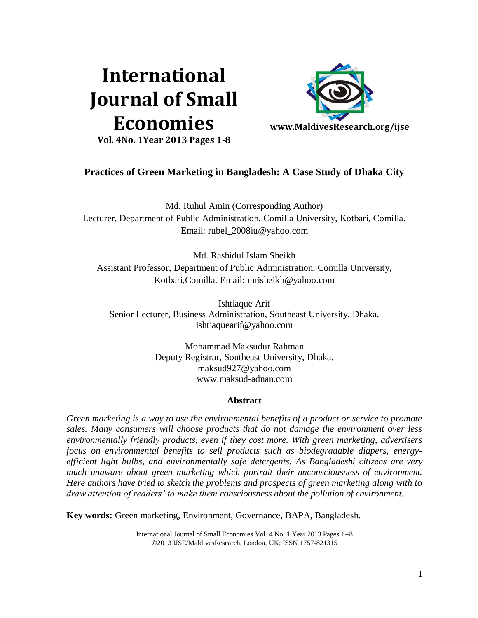# **International Journal of Small Economies**



**Vol. 4No. 1Year 2013 Pages 1-8**

# **Practices of Green Marketing in Bangladesh: A Case Study of Dhaka City**

Md. Ruhul Amin (Corresponding Author) Lecturer, Department of Public Administration, Comilla University, Kotbari, Comilla. Email: [rubel\\_2008iu@yahoo.com](mailto:rubel_2008iu@yahoo.com)

Md. Rashidul Islam Sheikh Assistant Professor, Department of Public Administration, Comilla University, Kotbari,Comilla. Email: mrisheikh@yahoo.com

Ishtiaque Arif Senior Lecturer, Business Administration, Southeast University, Dhaka. [ishtiaquearif@yahoo.com](mailto:ishtiaquearif@yahoo.com)

> Mohammad Maksudur Rahman Deputy Registrar, Southeast University, Dhaka. [maksud927@yahoo.com](mailto:maksud927@yahoo.com) [www.maksud-adnan.com](http://www.maksud-adnan.com/)

# **Abstract**

*Green marketing is a way to use the environmental benefits of a product or service to promote sales. Many consumers will choose products that do not damage the environment over less environmentally friendly products, even if they cost more. With green marketing, advertisers focus on environmental benefits to sell products such as biodegradable diapers, energyefficient light bulbs, and environmentally safe detergents. As Bangladeshi citizens are very much unaware about green marketing which portrait their unconsciousness of environment. Here authors have tried to sketch the problems and prospects of green marketing along with to draw attention of readers' to make them consciousness about the pollution of environment.*

**Key words:** Green marketing, Environment, Governance, BAPA, Bangladesh.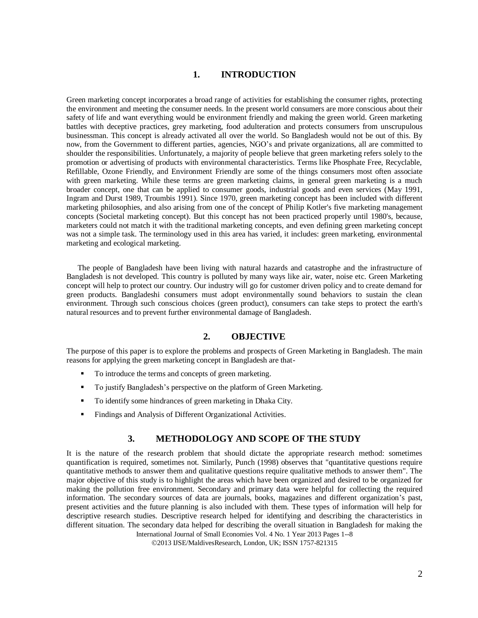## **1. INTRODUCTION**

Green marketing concept incorporates a broad range of activities for establishing the consumer rights, protecting the environment and meeting the consumer needs. In the present world consumers are more conscious about their safety of life and want everything would be environment friendly and making the green world. Green marketing battles with deceptive practices, grey marketing, food adulteration and protects consumers from unscrupulous businessman. This concept is already activated all over the world. So Bangladesh would not be out of this. By now, from the Government to different parties, agencies, NGO's and private organizations, all are committed to shoulder the responsibilities. Unfortunately, a majority of people believe that green marketing refers solely to the promotion or advertising of products with environmental characteristics. Terms like Phosphate Free, Recyclable, Refillable, Ozone Friendly, and Environment Friendly are some of the things consumers most often associate with green marketing. While these terms are green marketing claims, in general green marketing is a much broader concept, one that can be applied to consumer goods, industrial goods and even services [\(May 1991,](http://egj.lib.uidaho.edu/egj02/polon01.html#MAY_1991) [Ingram and Durst 1989,](http://egj.lib.uidaho.edu/egj02/polon01.html#ID_1989) [Troumbis 1991\)](http://egj.lib.uidaho.edu/egj02/polon01.html#TROUMBIS_1991). Since 1970, green marketing concept has been included with different marketing philosophies, and also arising from one of the concept of Philip Kotler's five marketing management concepts (Societal marketing concept). But this concept has not been practiced properly until 1980's, because, marketers could not match it with the traditional marketing concepts, and even defining green marketing concept was not a simple task. The terminology used in this area has varied, it includes: green marketing, environmental marketing and ecological marketing.

The people of Bangladesh have been living with natural hazards and catastrophe and the infrastructure of Bangladesh is not developed. This country is polluted by many ways like air, water, noise etc. Green Marketing concept will help to protect our country. Our industry will go for customer driven policy and to create demand for green products. Bangladeshi consumers must adopt environmentally sound behaviors to sustain the clean environment. Through such conscious choices (green product), consumers can take steps to protect the earth's natural resources and to prevent further environmental damage of Bangladesh.

#### **2. OBJECTIVE**

The purpose of this paper is to explore the problems and prospects of Green Marketing in Bangladesh. The main reasons for applying the green marketing concept in Bangladesh are that-

- To introduce the terms and concepts of green marketing.
- To justify Bangladesh's perspective on the platform of Green Marketing.
- To identify some hindrances of green marketing in Dhaka City.
- Findings and Analysis of Different Organizational Activities.

#### **3. METHODOLOGY AND SCOPE OF THE STUDY**

It is the nature of the research problem that should dictate the appropriate research method: sometimes quantification is required, sometimes not. Similarly, Punch (1998) observes that "quantitative questions require quantitative methods to answer them and qualitative questions require qualitative methods to answer them". The major objective of this study is to highlight the areas which have been organized and desired to be organized for making the pollution free environment. Secondary and primary data were helpful for collecting the required information. The secondary sources of data are journals, books, magazines and different organization's past, present activities and the future planning is also included with them. These types of information will help for descriptive research studies. Descriptive research helped for identifying and describing the characteristics in different situation. The secondary data helped for describing the overall situation in Bangladesh for making the

International Journal of Small Economies Vol. 4 No. 1 Year 2013 Pages 1--8

2013 IJSE/MaldivesResearch, London, UK; ISSN 1757-821315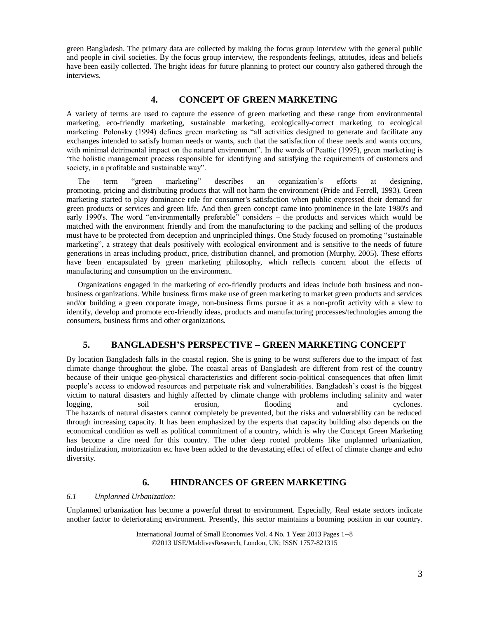green Bangladesh. The primary data are collected by making the focus group interview with the general public and people in civil societies. By the focus group interview, the respondents feelings, attitudes, ideas and beliefs have been easily collected. The bright ideas for future planning to protect our country also gathered through the interviews.

## **4. CONCEPT OF GREEN MARKETING**

A variety of terms are used to capture the essence of green marketing and these range from environmental marketing, eco-friendly marketing, sustainable marketing, ecologically-correct marketing to ecological marketing. Polonsky (1994) defines green marketing as "all activities designed to generate and facilitate any exchanges intended to satisfy human needs or wants, such that the satisfaction of these needs and wants occurs, with minimal detrimental impact on the natural environment". In the words of Peattie (1995), green marketing is "the holistic management process responsible for identifying and satisfying the requirements of customers and society, in a profitable and sustainable way".

The term "green marketing" describes an organization's efforts at designing, promoting, pricing and distributing products that will not harm the environment (Pride and Ferrell, 1993). Green marketing started to play dominance role for consumer's satisfaction when public expressed their demand for green products or services and green life. And then green concept came into prominence in the late 1980's and early 1990's. The word "environmentally preferable" considers – the products and services which would be matched with the environment friendly and from the manufacturing to the packing and selling of the products must have to be protected from deception and unprincipled things. One Study focused on promoting "sustainable marketing", a strategy that deals positively with ecological environment and is sensitive to the needs of future generations in areas including product, price, distribution channel, and promotion (Murphy, 2005). These efforts have been encapsulated by green marketing philosophy, which reflects concern about the effects of manufacturing and consumption on the environment.

Organizations engaged in the marketing of eco-friendly products and ideas include both business and nonbusiness organizations. While business firms make use of green marketing to market green products and services and/or building a green corporate image, non-business firms pursue it as a non-profit activity with a view to identify, develop and promote eco-friendly ideas, products and manufacturing processes/technologies among the consumers, business firms and other organizations.

# **5. BANGLADESH'S PERSPECTIVE – GREEN MARKETING CONCEPT**

By location Bangladesh falls in the coastal region. She is going to be worst sufferers due to the impact of fast climate change throughout the globe. The coastal areas of Bangladesh are different from rest of the country because of their unique geo-physical characteristics and different socio-political consequences that often limit people's access to endowed resources and perpetuate risk and vulnerabilities. Bangladesh's coast is the biggest victim to natural disasters and highly affected by climate change with problems including salinity and water logging, soil erosion, flooding and cyclones. The hazards of natural disasters cannot completely be prevented, but the risks and vulnerability can be reduced through increasing capacity. It has been emphasized by the experts that capacity building also depends on the economical condition as well as political commitment of a country, which is why the Concept Green Marketing has become a dire need for this country. The other deep rooted problems like unplanned urbanization, industrialization, motorization etc have been added to the devastating effect of effect of climate change and echo diversity.

### **6. HINDRANCES OF GREEN MARKETING**

#### *6.1 Unplanned Urbanization:*

Unplanned urbanization has become a powerful threat to environment. Especially, Real estate sectors indicate another factor to deteriorating environment. Presently, this sector maintains a booming position in our country.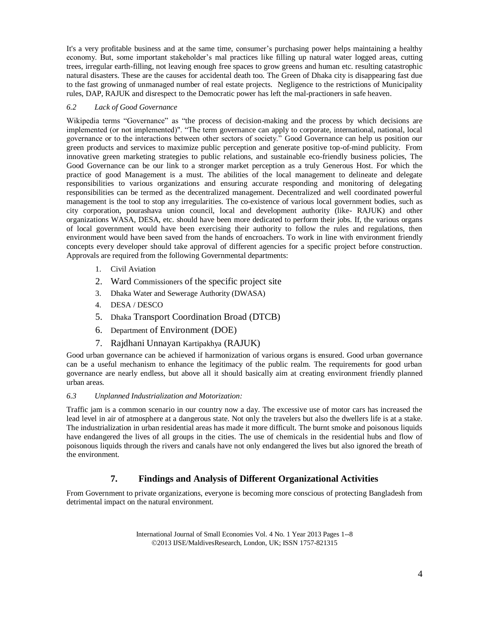It's a very profitable business and at the same time, consumer's purchasing power helps maintaining a healthy economy. But, some important stakeholder's mal practices like filling up natural water logged areas, cutting trees, irregular earth-filling, not leaving enough free spaces to grow greens and human etc. resulting catastrophic natural disasters. These are the causes for accidental death too. The Green of Dhaka city is disappearing fast due to the fast growing of unmanaged number of real estate projects. Negligence to the restrictions of Municipality rules, DAP, RAJUK and disrespect to the Democratic power has left the mal-practioners in safe heaven.

#### *6.2 Lack of Good Governance*

Wikipedia terms "Governance" as "the process of decision-making and the process by which decisions are implemented (or not implemented)". "The term governance can apply to corporate, international, national, local governance or to the interactions between other sectors of society." Good Governance can help us position our green products and services to maximize public perception and generate positive top-of-mind publicity. From innovative green marketing strategies to public relations, and sustainable eco-friendly business policies, The Good Governance can be our link to a stronger market perception as a truly Generous Host. For which the practice of good Management is a must. The abilities of the local management to delineate and delegate responsibilities to various organizations and ensuring accurate responding and monitoring of delegating responsibilities can be termed as the decentralized management. Decentralized and well coordinated powerful management is the tool to stop any irregularities. The co-existence of various local government bodies, such as city corporation, pourashava union council, local and development authority (like- RAJUK) and other organizations WASA, DESA, etc. should have been more dedicated to perform their jobs. If, the various organs of local government would have been exercising their authority to follow the rules and regulations, then environment would have been saved from the hands of encroachers. To work in line with environment friendly concepts every developer should take approval of different agencies for a specific project before construction. Approvals are required from the following Governmental departments:

- 1. Civil Aviation
- 2. Ward Commissioners of the specific project site
- 3. Dhaka Water and Sewerage Authority (DWASA)
- 4. DESA / DESCO
- 5. Dhaka Transport Coordination Broad (DTCB)
- 6. Department of Environment (DOE)
- 7. Rajdhani Unnayan Kartipakhya (RAJUK)

Good urban governance can be achieved if harmonization of various organs is ensured. Good urban governance can be a useful mechanism to enhance the legitimacy of the public realm. The requirements for good urban governance are nearly endless, but above all it should basically aim at creating environment friendly planned urban areas.

#### *6.3 Unplanned Industrialization and Motorization:*

Traffic jam is a common scenario in our country now a day. The excessive use of motor cars has increased the lead level in air of atmosphere at a dangerous state. Not only the travelers but also the dwellers life is at a stake. The industrialization in urban residential areas has made it more difficult. The burnt smoke and poisonous liquids have endangered the lives of all groups in the cities. The use of chemicals in the residential hubs and flow of poisonous liquids through the rivers and canals have not only endangered the lives but also ignored the breath of the environment.

# **7. Findings and Analysis of Different Organizational Activities**

From Government to private organizations, everyone is becoming more conscious of protecting Bangladesh from detrimental impact on the natural environment.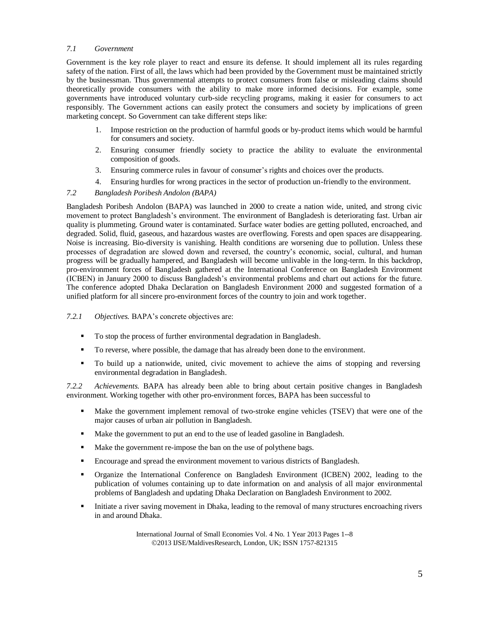#### *7.1 Government*

Government is the key role player to react and ensure its defense. It should implement all its rules regarding safety of the nation. First of all, the laws which had been provided by the Government must be maintained strictly by the businessman. Thus governmental attempts to protect consumers from false or misleading claims should theoretically provide consumers with the ability to make more informed decisions. For example, some governments have introduced voluntary curb-side recycling programs, making it easier for consumers to act responsibly. The Government actions can easily protect the consumers and society by implications of green marketing concept. So Government can take different steps like:

- 1. Impose restriction on the production of harmful goods or by-product items which would be harmful for consumers and society.
- 2. Ensuring consumer friendly society to practice the ability to evaluate the environmental composition of goods.
- 3. Ensuring commerce rules in favour of consumer's rights and choices over the products.
- 4. Ensuring hurdles for wrong practices in the sector of production un-friendly to the environment.

#### *7.2 Bangladesh Poribesh Andolon (BAPA)*

Bangladesh Poribesh Andolon (BAPA) was launched in 2000 to create a nation wide, united, and strong civic movement to protect Bangladesh's environment. The environment of Bangladesh is deteriorating fast. Urban air quality is plummeting. Ground water is contaminated. Surface water bodies are getting polluted, encroached, and degraded. Solid, fluid, gaseous, and hazardous wastes are overflowing. Forests and open spaces are disappearing. Noise is increasing. Bio-diversity is vanishing. Health conditions are worsening due to pollution. Unless these processes of degradation are slowed down and reversed, the country's economic, social, cultural, and human progress will be gradually hampered, and Bangladesh will become unlivable in the long-term. In this backdrop, pro-environment forces of Bangladesh gathered at the International Conference on Bangladesh Environment (ICBEN) in January 2000 to discuss Bangladesh's environmental problems and chart out actions for the future. The conference adopted Dhaka Declaration on Bangladesh Environment 2000 and suggested formation of a unified platform for all sincere pro-environment forces of the country to join and work together.

*7.2.1 Objectives.* BAPA's concrete objectives are:

- To stop the process of further environmental degradation in Bangladesh.
- To reverse, where possible, the damage that has already been done to the environment.
- To build up a nationwide, united, civic movement to achieve the aims of stopping and reversing environmental degradation in Bangladesh.

*7.2.2 Achievements.* BAPA has already been able to bring about certain positive changes in Bangladesh environment. Working together with other pro-environment forces, BAPA has been successful to

- Make the government implement removal of two-stroke engine vehicles (TSEV) that were one of the major causes of urban air pollution in Bangladesh.
- Make the government to put an end to the use of leaded gasoline in Bangladesh.
- Make the government re-impose the ban on the use of polythene bags.
- Encourage and spread the environment movement to various districts of Bangladesh.
- Organize the International Conference on Bangladesh Environment (ICBEN) 2002, leading to the publication of volumes containing up to date information on and analysis of all major environmental problems of Bangladesh and updating Dhaka Declaration on Bangladesh Environment to 2002.
- Initiate a river saving movement in Dhaka, leading to the removal of many structures encroaching rivers in and around Dhaka.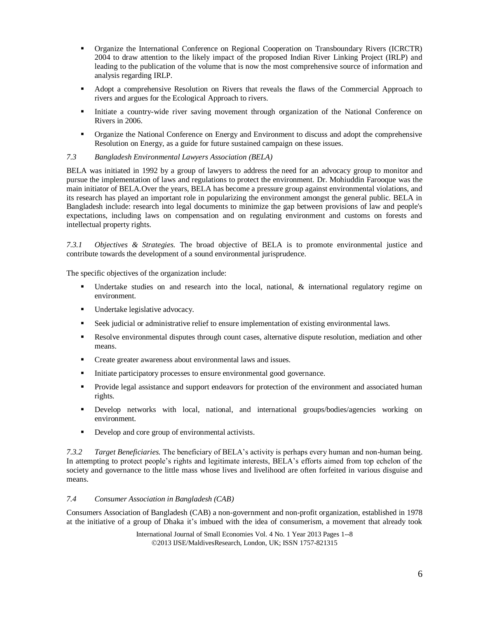- Organize the International Conference on Regional Cooperation on Transboundary Rivers (ICRCTR) 2004 to draw attention to the likely impact of the proposed Indian River Linking Project (IRLP) and leading to the publication of the volume that is now the most comprehensive source of information and analysis regarding IRLP.
- Adopt a comprehensive Resolution on Rivers that reveals the flaws of the Commercial Approach to rivers and argues for the Ecological Approach to rivers.
- Initiate a country-wide river saving movement through organization of the National Conference on Rivers in 2006.
- Organize the National Conference on Energy and Environment to discuss and adopt the comprehensive Resolution on Energy, as a guide for future sustained campaign on these issues.

#### *7.3 Bangladesh Environmental Lawyers Association (BELA)*

BELA was initiated in 1992 by a group of lawyers to address the need for an advocacy group to monitor and pursue the implementation of laws and regulations to protect the environment. Dr. Mohiuddin Farooque was the main initiator of BELA.Over the years, BELA has become a pressure group against environmental violations, and its research has played an important role in popularizing the environment amongst the general public. BELA in Bangladesh include: research into legal documents to minimize the gap between provisions of law and people's expectations, including laws on compensation and on regulating environment and customs on forests and intellectual property rights.

*7.3.1 Objectives & Strategies.* The broad objective of BELA is to promote environmental justice and contribute towards the development of a sound environmental jurisprudence.

The specific objectives of the organization include:

- Undertake studies on and research into the local, national, & international regulatory regime on environment.
- Undertake legislative advocacy.
- Seek judicial or administrative relief to ensure implementation of existing environmental laws.
- Resolve environmental disputes through count cases, alternative dispute resolution, mediation and other means.
- **Create greater awareness about environmental laws and issues.**
- Initiate participatory processes to ensure environmental good governance.
- Provide legal assistance and support endeavors for protection of the environment and associated human rights.
- Develop networks with local, national, and international groups/bodies/agencies working on environment.
- Develop and core group of environmental activists.

*7.3.2 Target Beneficiaries.* The beneficiary of BELA's activity is perhaps every human and non-human being. In attempting to protect people's rights and legitimate interests, BELA's efforts aimed from top echelon of the society and governance to the little mass whose lives and livelihood are often forfeited in various disguise and means.

#### *7.4 Consumer Association in Bangladesh (CAB)*

Consumers Association of Bangladesh (CAB) a non-government and non-profit organization, established in 1978 at the initiative of a group of Dhaka it's imbued with the idea of consumerism, a movement that already took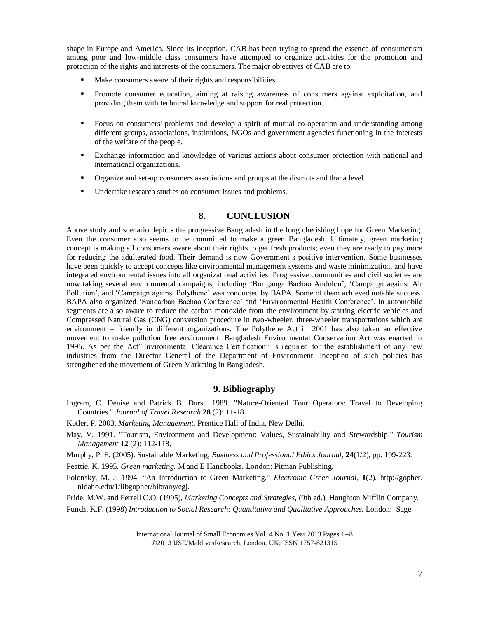shape in Europe and America. Since its inception, CAB has been trying to spread the essence of consumerism among poor and low-middle class consumers have attempted to organize activities for the promotion and protection of the rights and interests of the consumers. The major objectives of CAB are to:

- Make consumers aware of their rights and responsibilities.
- **Promote consumer education, aiming at raising awareness of consumers against exploitation, and** providing them with technical knowledge and support for real protection.
- Focus on consumers' problems and develop a spirit of mutual co-operation and understanding among different groups, associations, institutions, NGOs and government agencies functioning in the interests of the welfare of the people.
- Exchange information and knowledge of various actions about consumer protection with national and international organizations.
- Organize and set-up consumers associations and groups at the districts and thana level.
- Undertake research studies on consumer issues and problems.

#### **8. CONCLUSION**

Above study and scenario depicts the progressive Bangladesh in the long cherishing hope for Green Marketing. Even the consumer also seems to be committed to make a green Bangladesh. Ultimately, green marketing concept is making all consumers aware about their rights to get fresh products; even they are ready to pay more for reducing the adulterated food. Their demand is now Government's positive intervention. Some businesses have been quickly to accept concepts like environmental management systems and waste minimization, and have integrated environmental issues into all organizational activities. Progressive communities and civil societies are now taking several environmental campaigns, including 'Buriganga Bachao Andolon', 'Campaign against Air Pollution', and 'Campaign against Polythene' was conducted by BAPA. Some of them achieved notable success. BAPA also organized 'Sundarban Bachao Conference' and 'Environmental Health Conference'. In automobile segments are also aware to reduce the carbon monoxide from the environment by starting electric vehicles and Compressed Natural Gas (CNG) conversion procedure in two-wheeler, three-wheeler transportations which are environment – friendly in different organizations. The Polythene Act in 2001 has also taken an effective movement to make pollution free environment. Bangladesh Environmental Conservation Act was enacted in 1995. As per the Act"Environmental Clearance Certification" is required for the establishment of any new industries from the Director General of the Department of Environment. Inception of such policies has strengthened the movement of Green Marketing in Bangladesh.

#### **9. Bibliography**

- Ingram, C. Denise and Patrick B. Durst. 1989. "Nature-Oriented Tour Operators: Travel to Developing Countries." *Journal of Travel Research* **28** (2): 11-18
- Kotler, P. 2003, *Marketing Management*, Prentice Hall of India, New Delhi.
- May, V. 1991. "Tourism, Environment and Development: Values, Sustainability and Stewardship." *Tourism Management* **12** (2): 112-118.
- Murphy, P. E. (2005). Sustainable Marketing, *Business and Professional Ethics Journal*, **24**(1/2), pp. 199-223.
- Peattie, K. 1995. *Green marketing.* M and E Handbooks. London: Pitman Publishing.
- Polonsky, M. J. 1994. "An Introduction to Green Marketing." *Electronic Green Journal,* **1**(2). http://gopher. nidaho.edu/1/libgopher/hibrany/egj.

Pride, M.W. and Ferrell C.O. (1995), *Marketing Concepts and Strategies,* (9th ed.), Houghton Mifflin Company.

Punch, K.F. (1998) *Introduction to Social Research: Quantitative and Qualitative Approaches.* London: Sage.